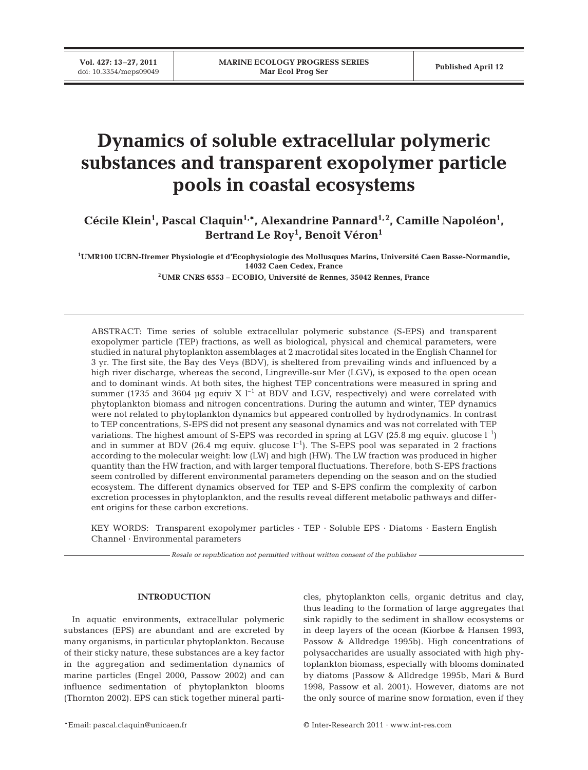**Vol. 427: 13–27, 2011**

# **Dynamics of soluble extracellular polymeric substances and transparent exopolymer particle pools in coastal ecosystems**

Cécile Klein<sup>1</sup>, Pascal Claquin<sup>1,\*</sup>, Alexandrine Pannard<sup>1,2</sup>, Camille Napoléon<sup>1</sup>, **Bertrand Le Roy1 , Benoît Véron1**

**1UMR100 UCBN-Ifremer Physiologie et d'Ecophysiologie des Mollusques Marins, Université Caen Basse-Normandie, 14032 Caen Cedex, France**

**2UMR CNRS 6553 – ECOBIO, Université de Rennes, 35042 Rennes, France**

ABSTRACT: Time series of soluble extracellular polymeric substance (S-EPS) and transparent exopolymer particle (TEP) fractions, as well as biological, physical and chemical parameters, were studied in natural phytoplankton assemblages at 2 macrotidal sites located in the English Channel for 3 yr. The first site, the Bay des Veys (BDV), is sheltered from prevailing winds and influenced by a high river discharge, whereas the second, Lingreville-sur Mer (LGV), is exposed to the open ocean and to dominant winds. At both sites, the highest TEP concentrations were measured in spring and summer (1735 and 3604 µg equiv X  $l^{-1}$  at BDV and LGV, respectively) and were correlated with phytoplankton biomass and nitrogen concentrations. During the autumn and winter, TEP dynamics were not related to phytoplankton dynamics but appeared controlled by hydrodynamics. In contrast to TEP concentrations, S-EPS did not present any seasonal dynamics and was not correlated with TEP variations. The highest amount of S-EPS was recorded in spring at LGV (25.8 mg equiv. glucose  $l^{-1}$ ) and in summer at BDV (26.4 mg equiv. glucose  $l^{-1}$ ). The S-EPS pool was separated in 2 fractions according to the molecular weight: low (LW) and high (HW). The LW fraction was produced in higher quantity than the HW fraction, and with larger temporal fluctuations. Therefore, both S-EPS fractions seem controlled by different environmental parameters depending on the season and on the studied ecosystem. The different dynamics observed for TEP and S-EPS confirm the complexity of carbon excretion processes in phytoplankton, and the results reveal different metabolic pathways and different origins for these carbon excretions.

KEY WORDS: Transparent exopolymer particles · TEP · Soluble EPS · Diatoms · Eastern English Channel · Environmental parameters

*Resale or republication not permitted without written consent of the publisher*

## **INTRODUCTION**

In aquatic environments, extracellular polymeric substances (EPS) are abundant and are excreted by many organisms, in particular phytoplankton. Because of their sticky nature, these substances are a key factor in the aggregation and sedimentation dynamics of marine particles (Engel 2000, Passow 2002) and can influence sedimentation of phytoplankton blooms (Thornton 2002). EPS can stick together mineral particles, phytoplankton cells, organic detritus and clay, thus leading to the formation of large aggregates that sink rapidly to the sediment in shallow ecosystems or in deep layers of the ocean (Kiorbøe & Hansen 1993, Passow & Alldredge 1995b). High concentrations of polysaccharides are usually associated with high phytoplankton biomass, especially with blooms dominated by diatoms (Passow & Alldredge 1995b, Mari & Burd 1998, Passow et al. 2001). However, diatoms are not the only source of marine snow formation, even if they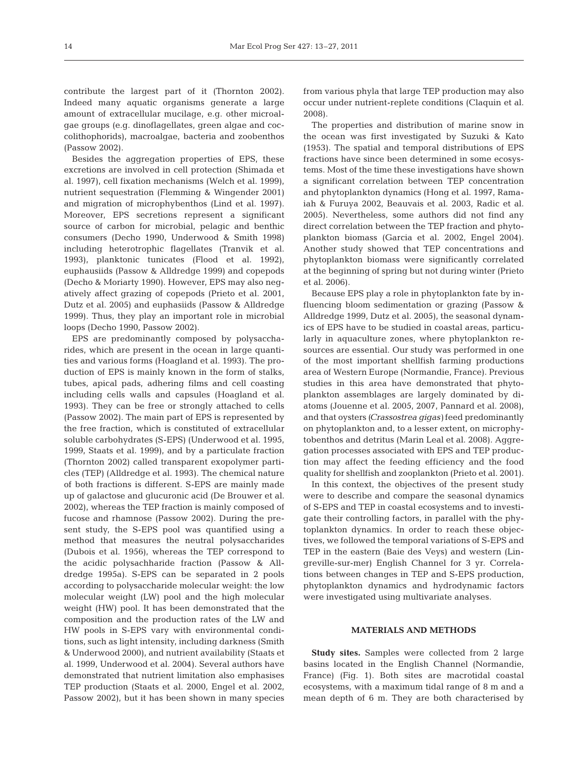contribute the largest part of it (Thornton 2002). Indeed many aquatic organisms generate a large amount of extracellular mucilage, e.g. other microalgae groups (e.g. dinoflagellates, green algae and coccolithophorids), macroalgae, bacteria and zoobenthos (Passow 2002).

Besides the aggregation properties of EPS, these excretions are involved in cell protection (Shimada et al. 1997), cell fixation mechanisms (Welch et al. 1999), nutrient sequestration (Flemming & Wingender 2001) and migration of microphybenthos (Lind et al. 1997). Moreover, EPS secretions represent a significant source of carbon for microbial, pelagic and benthic consumers (Decho 1990, Underwood & Smith 1998) including heterotrophic flagellates (Tranvik et al. 1993), planktonic tunicates (Flood et al. 1992), euphausiids (Passow & Alldredge 1999) and copepods (Decho & Moriarty 1990). However, EPS may also negatively affect grazing of copepods (Prieto et al. 2001, Dutz et al. 2005) and euphasiids (Passow & Alldredge 1999). Thus, they play an important role in microbial loops (Decho 1990, Passow 2002).

EPS are predominantly composed by polysaccharides, which are present in the ocean in large quantities and various forms (Hoagland et al. 1993). The production of EPS is mainly known in the form of stalks, tubes, apical pads, adhering films and cell coasting including cells walls and capsules (Hoagland et al. 1993). They can be free or strongly attached to cells (Passow 2002). The main part of EPS is represented by the free fraction, which is constituted of extracellular soluble carbohydrates (S-EPS) (Underwood et al. 1995, 1999, Staats et al. 1999), and by a particulate fraction (Thornton 2002) called transparent exopolymer particles (TEP) (Alldredge et al. 1993). The chemical nature of both fractions is different. S-EPS are mainly made up of galactose and glucuronic acid (De Brouwer et al. 2002), whereas the TEP fraction is mainly composed of fucose and rhamnose (Passow 2002). During the present study, the S-EPS pool was quantified using a method that measures the neutral polysaccharides (Dubois et al. 1956), whereas the TEP correspond to the acidic polysachharide fraction (Passow & Alldredge 1995a). S-EPS can be separated in 2 pools according to polysaccharide molecular weight: the low molecular weight (LW) pool and the high molecular weight (HW) pool. It has been demonstrated that the composition and the production rates of the LW and HW pools in S-EPS vary with environmental conditions, such as light intensity, including darkness (Smith & Underwood 2000), and nutrient availability (Staats et al. 1999, Underwood et al. 2004). Several authors have demonstrated that nutrient limitation also emphasises TEP production (Staats et al. 2000, Engel et al. 2002, Passow 2002), but it has been shown in many species

from various phyla that large TEP production may also occur under nutrient-replete conditions (Claquin et al. 2008).

The properties and distribution of marine snow in the ocean was first investigated by Suzuki & Kato (1953). The spatial and temporal distributions of EPS fractions have since been determined in some ecosystems. Most of the time these investigations have shown a significant correlation between TEP concentration and phytoplankton dynamics (Hong et al. 1997, Ramaiah & Furuya 2002, Beauvais et al. 2003, Radic et al. 2005). Nevertheless, some authors did not find any direct correlation between the TEP fraction and phytoplankton biomass (Garcia et al. 2002, Engel 2004). Another study showed that TEP concentrations and phytoplankton biomass were significantly correlated at the beginning of spring but not during winter (Prieto et al. 2006).

Because EPS play a role in phytoplankton fate by influencing bloom sedimentation or grazing (Passow & Alldredge 1999, Dutz et al. 2005), the seasonal dynamics of EPS have to be studied in coastal areas, particularly in aquaculture zones, where phytoplankton resources are essential. Our study was performed in one of the most important shellfish farming productions area of Western Europe (Normandie, France). Previous studies in this area have demonstrated that phytoplankton assemblages are largely dominated by diatoms (Jouenne et al. 2005, 2007, Pannard et al. 2008), and that oysters *(Crassostrea gigas)* feed predominantly on phytoplankton and, to a lesser extent, on microphytobenthos and detritus (Marin Leal et al. 2008). Aggregation processes associated with EPS and TEP production may affect the feeding efficiency and the food quality for shellfish and zooplankton (Prieto et al. 2001).

In this context, the objectives of the present study were to describe and compare the seasonal dynamics of S-EPS and TEP in coastal ecosystems and to investigate their controlling factors, in parallel with the phytoplankton dynamics. In order to reach these objectives, we followed the temporal variations of S-EPS and TEP in the eastern (Baie des Veys) and western (Lingreville-sur-mer) English Channel for 3 yr. Correlations between changes in TEP and S-EPS production, phytoplankton dynamics and hydrodynamic factors were investigated using multivariate analyses.

#### **MATERIALS AND METHODS**

**Study sites.** Samples were collected from 2 large basins located in the English Channel (Normandie, France) (Fig. 1). Both sites are macrotidal coastal ecosystems, with a maximum tidal range of 8 m and a mean depth of 6 m. They are both characterised by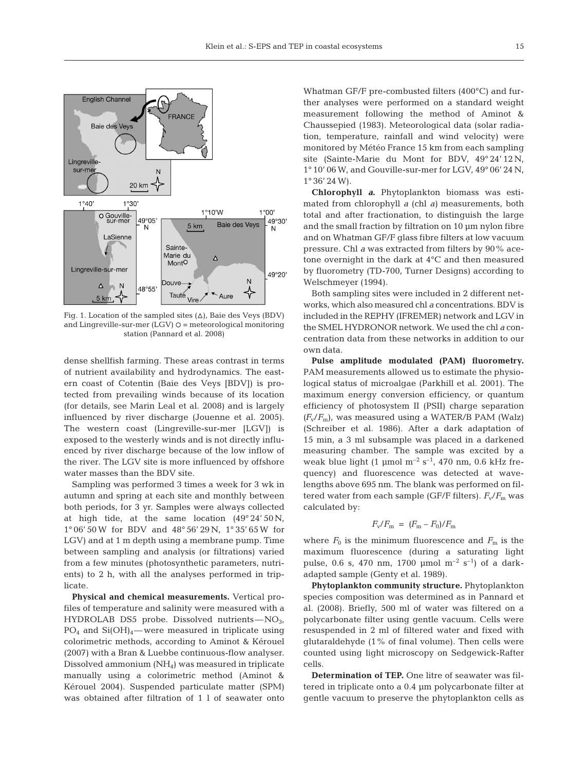

Fig. 1. Location of the sampled sites  $(\Delta)$ , Baie des Veys (BDV) and Lingreville-sur-mer  $(LGV)$   $\circ$  = meteorological monitoring station (Pannard et al. 2008)

dense shellfish farming. These areas contrast in terms of nutrient availability and hydrodynamics. The eastern coast of Cotentin (Baie des Veys [BDV]) is protected from prevailing winds because of its location (for details, see Marin Leal et al. 2008) and is largely influenced by river discharge (Jouenne et al. 2005). The western coast (Lingreville-sur-mer [LGV]) is exposed to the westerly winds and is not directly influenced by river discharge because of the low inflow of the river. The LGV site is more influenced by offshore water masses than the BDV site.

Sampling was performed 3 times a week for 3 wk in autumn and spring at each site and monthly between both periods, for 3 yr. Samples were always collected at high tide, at the same location  $(49^{\circ} 24' 50 \text{ N}$ , 1° 06' 50 W for BDV and 48° 56' 29 N, 1° 35' 65 W for LGV) and at 1 m depth using a membrane pump. Time between sampling and analysis (or filtrations) varied from a few minutes (photosynthetic parameters, nutrients) to 2 h, with all the analyses performed in triplicate.

**Physical and chemical measurements.** Vertical profiles of temperature and salinity were measured with a HYDROLAB DS5 probe. Dissolved nutrients— $NO<sub>3</sub>$ ,  $PO_4$  and  $Si(OH)<sub>4</sub>$ —were measured in triplicate using colorimetric methods, according to Aminot & Kérouel (2007) with a Bran & Luebbe continuous-flow analyser. Dissolved ammonium (NH4) was measured in triplicate manually using a colorimetric method (Aminot & Kérouel 2004). Suspended particulate matter (SPM) was obtained after filtration of 1 l of seawater onto Whatman GF/F pre-combusted filters (400°C) and further analyses were performed on a standard weight measurement following the method of Aminot & Chaussepied (1983). Meteorological data (solar radiation, temperature, rainfall and wind velocity) were monitored by Météo France 15 km from each sampling site (Sainte-Marie du Mont for BDV, 49° 24' 12 N, 1° 10' 06 W, and Gouville-sur-mer for LGV, 49° 06' 24 N,  $1^{\circ}36'24$  W).

**Chlorophyll** *a***.** Phytoplankton biomass was estimated from chlorophyll *a* (chl *a)* measurements, both total and after fractionation, to distinguish the large and the small fraction by filtration on 10 µm nylon fibre and on Whatman GF/F glass fibre filters at low vacuum pressure. Chl *a* was extracted from filters by 90% acetone overnight in the dark at 4°C and then measured by fluorometry (TD-700, Turner Designs) according to Welschmeyer (1994).

Both sampling sites were included in 2 different networks, which also measured chl *a* concentrations. BDV is included in the REPHY (IFREMER) network and LGV in the SMEL HYDRONOR network. We used the chl *a* concentration data from these networks in addition to our own data.

**Pulse amplitude modulated (PAM) fluorometry.** PAM measurements allowed us to estimate the physiological status of microalgae (Parkhill et al. 2001). The maximum energy conversion efficiency, or quantum efficiency of photosystem II (PSII) charge separation  $(F_v/F_m)$ , was measured using a WATER/B PAM (Walz) (Schreiber et al. 1986). After a dark adaptation of 15 min, a 3 ml subsample was placed in a darkened measuring chamber. The sample was excited by a weak blue light (1 µmol  $m^{-2}$  s<sup>-1</sup>, 470 nm, 0.6 kHz frequency) and fluorescence was detected at wavelengths above 695 nm. The blank was performed on filtered water from each sample (GF/F filters).  $F_v/F_m$  was calculated by:

$$
F_{\rm v}/F_{\rm m}~=~(F_{\rm m}-F_0)/F_{\rm m}
$$

where  $F_0$  is the minimum fluorescence and  $F_m$  is the maximum fluorescence (during a saturating light pulse, 0.6 s, 470 nm, 1700 µmol  $m^{-2}$  s<sup>-1</sup>) of a darkadapted sample (Genty et al. 1989).

**Phytoplankton community structure.** Phytoplankton species composition was determined as in Pannard et al. (2008). Briefly, 500 ml of water was filtered on a polycarbonate filter using gentle vacuum. Cells were resuspended in 2 ml of filtered water and fixed with glutaraldehyde (1% of final volume). Then cells were counted using light microscopy on Sedgewick-Rafter cells.

**Determination of TEP.** One litre of seawater was filtered in triplicate onto a 0.4 µm polycarbonate filter at gentle vacuum to preserve the phytoplankton cells as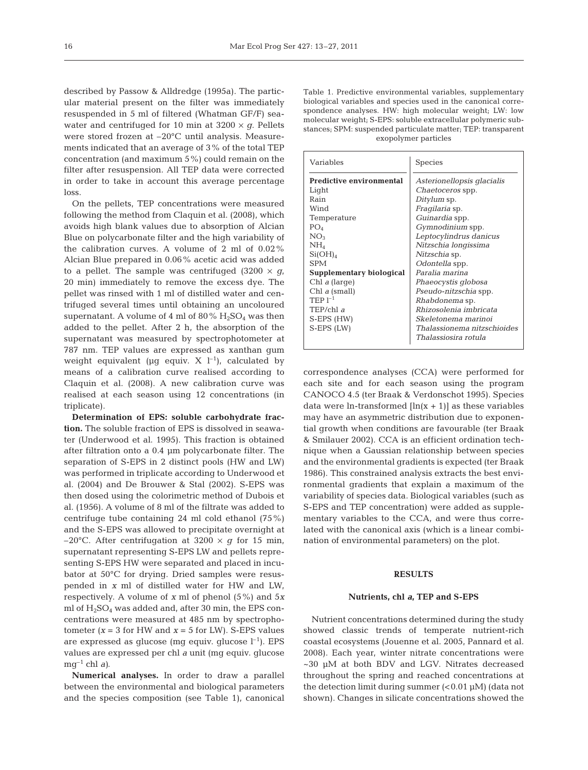described by Passow & Alldredge (1995a). The particular material present on the filter was immediately resuspended in 5 ml of filtered (Whatman GF/F) seawater and centrifuged for 10 min at  $3200 \times g$ . Pellets were stored frozen at –20°C until analysis. Measurements indicated that an average of 3% of the total TEP concentration (and maximum 5%) could remain on the filter after resuspension. All TEP data were corrected in order to take in account this average percentage loss.

On the pellets, TEP concentrations were measured following the method from Claquin et al. (2008), which avoids high blank values due to absorption of Alcian Blue on polycarbonate filter and the high variability of the calibration curves. A volume of 2 ml of 0.02% Alcian Blue prepared in 0.06% acetic acid was added to a pellet. The sample was centrifuged  $(3200 \times g)$ , 20 min) immediately to remove the excess dye. The pellet was rinsed with 1 ml of distilled water and centrifuged several times until obtaining an uncoloured supernatant. A volume of 4 ml of 80%  $H_2SO_4$  was then added to the pellet. After 2 h, the absorption of the supernatant was measured by spectrophotometer at 787 nm. TEP values are expressed as xanthan gum weight equivalent ( $\mu$ g equiv. X  $l^{-1}$ ), calculated by means of a calibration curve realised according to Claquin et al. (2008). A new calibration curve was realised at each season using 12 concentrations (in triplicate).

**Determination of EPS: soluble carbohydrate fraction.** The soluble fraction of EPS is dissolved in seawater (Underwood et al. 1995). This fraction is obtained after filtration onto a 0.4 µm polycarbonate filter. The separation of S-EPS in 2 distinct pools (HW and LW) was performed in triplicate according to Underwood et al. (2004) and De Brouwer & Stal (2002). S-EPS was then dosed using the colorimetric method of Dubois et al. (1956). A volume of 8 ml of the filtrate was added to centrifuge tube containing 24 ml cold ethanol (75%) and the S-EPS was allowed to precipitate overnight at  $-20^{\circ}$ C. After centrifugation at 3200  $\times$  *q* for 15 min, supernatant representing S-EPS LW and pellets representing S-EPS HW were separated and placed in incubator at 50°C for drying. Dried samples were resuspended in *x* ml of distilled water for HW and LW, respectively. A volume of *x* ml of phenol (5%) and 5*x* ml of  $H<sub>2</sub>SO<sub>4</sub>$  was added and, after 30 min, the EPS concentrations were measured at 485 nm by spectrophotometer  $(x = 3$  for HW and  $x = 5$  for LW). S-EPS values are expressed as glucose (mg equiv. glucose  $l^{-1}$ ). EPS values are expressed per chl *a* unit (mg equiv. glucose  $mq^{-1}$  chl *a*).

**Numerical analyses.** In order to draw a parallel between the environmental and biological parameters and the species composition (see Table 1), canonical Table 1. Predictive environmental variables, supplementary biological variables and species used in the canonical correspondence analyses. HW: high molecular weight; LW: low molecular weight; S-EPS: soluble extracellular polymeric substances; SPM: suspended particulate matter; TEP: transparent exopolymer particles

| Variables                        | Species                      |  |  |  |
|----------------------------------|------------------------------|--|--|--|
| <b>Predictive environmental</b>  | Asterionellopsis glacialis   |  |  |  |
| Light                            | <i>Chaetoceros</i> spp.      |  |  |  |
| Rain                             | <i>Ditylum</i> sp.           |  |  |  |
| Wind                             | <i>Fraqilaria</i> sp.        |  |  |  |
| Temperature                      | Guinardia spp.               |  |  |  |
| PO <sub>4</sub>                  | Gymnodinium spp.             |  |  |  |
| NO <sub>3</sub>                  | Leptocylindrus danicus       |  |  |  |
| $\rm{NH}_{4}$                    | Nitzschia longissima         |  |  |  |
| Si(OH) <sub>4</sub>              | <i>Nitzschia</i> sp.         |  |  |  |
| <b>SPM</b>                       | Odontella spp.               |  |  |  |
| Supplementary biological         | Paralia marina               |  |  |  |
| Chl $a$ (large)                  | Phaeocystis globosa          |  |  |  |
| Chl a (small)                    | <i>Pseudo-nitzschia</i> spp. |  |  |  |
| $\mathrm{TFP}\, \mathrm{I}^{-1}$ | <i>Rhabdonema</i> sp.        |  |  |  |
| TEP/chl $\alpha$                 | Rhizosolenia imbricata       |  |  |  |
| S-EPS (HW)                       | Skeletonema marinoi          |  |  |  |
| S-EPS (LW)                       | Thalassionema nitzschioides  |  |  |  |
|                                  | Thalassiosira rotula         |  |  |  |

correspondence analyses (CCA) were performed for each site and for each season using the program CANOCO 4.5 (ter Braak & Verdonschot 1995). Species data were ln-transformed  $[\ln(x + 1)]$  as these variables may have an asymmetric distribution due to exponential growth when conditions are favourable (ter Braak & Smilauer 2002). CCA is an efficient ordination technique when a Gaussian relationship between species and the environmental gradients is expected (ter Braak 1986). This constrained analysis extracts the best environmental gradients that explain a maximum of the variability of species data. Biological variables (such as S-EPS and TEP concentration) were added as supplementary variables to the CCA, and were thus correlated with the canonical axis (which is a linear combination of environmental parameters) on the plot.

# **RESULTS**

#### **Nutrients, chl** *a***, TEP and S-EPS**

Nutrient concentrations determined during the study showed classic trends of temperate nutrient-rich coastal ecosystems (Jouenne et al. 2005, Pannard et al. 2008). Each year, winter nitrate concentrations were ~30 µM at both BDV and LGV. Nitrates decreased throughout the spring and reached concentrations at the detection limit during summer  $(<0.01 \mu M$ ) (data not shown). Changes in silicate concentrations showed the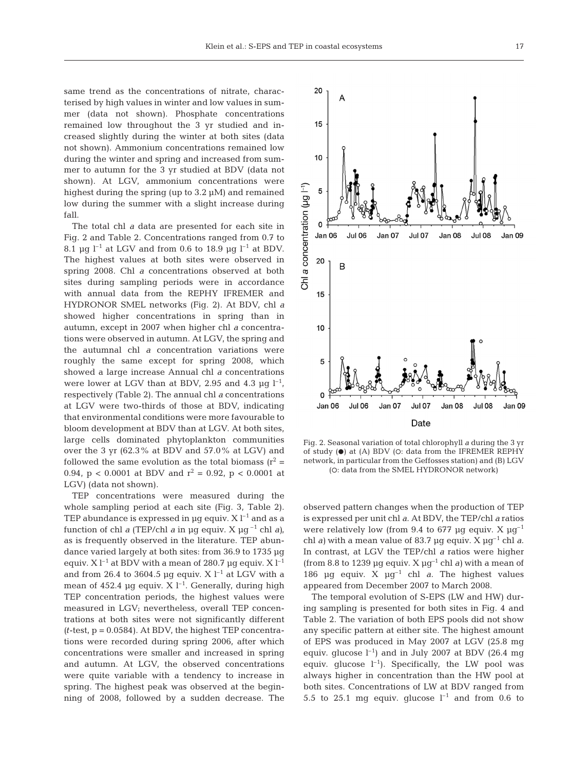same trend as the concentrations of nitrate, characterised by high values in winter and low values in summer (data not shown). Phosphate concentrations remained low throughout the 3 yr studied and increased slightly during the winter at both sites (data not shown). Ammonium concentrations remained low during the winter and spring and increased from summer to autumn for the 3 yr studied at BDV (data not shown). At LGV, ammonium concentrations were highest during the spring (up to 3.2  $\mu$ M) and remained low during the summer with a slight increase during fall.

The total chl *a* data are presented for each site in Fig. 2 and Table 2. Concentrations ranged from 0.7 to 8.1 µg l<sup>-1</sup> at LGV and from 0.6 to 18.9 µg l<sup>-1</sup> at BDV. The highest values at both sites were observed in spring 2008. Chl *a* concentrations observed at both sites during sampling periods were in accordance with annual data from the REPHY IFREMER and HYDRONOR SMEL networks (Fig. 2). At BDV, chl *a* showed higher concentrations in spring than in autumn, except in 2007 when higher chl *a* concentrations were observed in autumn. At LGV, the spring and the autumnal chl *a* concentration variations were roughly the same except for spring 2008, which showed a large increase Annual chl *a* concentrations were lower at LGV than at BDV, 2.95 and 4.3  $\mu$ g l<sup>-1</sup>, respectively (Table 2). The annual chl *a* concentrations at LGV were two-thirds of those at BDV, indicating that environmental conditions were more favourable to bloom development at BDV than at LGV. At both sites, large cells dominated phytoplankton communities over the 3 yr (62.3% at BDV and 57.0% at LGV) and followed the same evolution as the total biomass  $(r^2 =$ 0.94,  $p < 0.0001$  at BDV and  $r^2 = 0.92$ ,  $p < 0.0001$  at LGV) (data not shown).

TEP concentrations were measured during the whole sampling period at each site (Fig. 3, Table 2). TEP abundance is expressed in  $\mu$ g equiv. X  $l^{-1}$  and as a function of chl *a* (TEP/chl *a* in µg equiv. X µg<sup>-1</sup> chl *a*), as is frequently observed in the literature. TEP abundance varied largely at both sites: from 36.9 to 1735 µg equiv. X  $l^{-1}$  at BDV with a mean of 280.7 µg equiv. X  $l^{-1}$ and from 26.4 to 3604.5 µg equiv. X  $l^{-1}$  at LGV with a mean of 452.4 µg equiv.  $X$  l<sup>-1</sup>. Generally, during high TEP concentration periods, the highest values were measured in LGV; nevertheless, overall TEP concentrations at both sites were not significantly different  $(t$ -test,  $p = 0.0584$ ). At BDV, the highest TEP concentrations were recorded during spring 2006, after which concentrations were smaller and increased in spring and autumn. At LGV, the observed concentrations were quite variable with a tendency to increase in spring. The highest peak was observed at the beginning of 2008, followed by a sudden decrease. The



Fig. 2. Seasonal variation of total chlorophyll *a* during the 3 yr of study  $\Theta$ ) at (A) BDV (O: data from the IFREMER REPHY network, in particular from the Geffosses station) and (B) LGV (O: data from the SMEL HYDRONOR network)

observed pattern changes when the production of TEP is expressed per unit chl *a*. At BDV, the TEP/chl *a* ratios were relatively low (from 9.4 to 677 µg equiv.  $X \mu g^{-1}$ chl *a*) with a mean value of 83.7 µg equiv. X  $\mu$ g<sup>-1</sup> chl *a*. In contrast, at LGV the TEP/chl *a* ratios were higher (from 8.8 to 1239 µg equiv.  $X \mu g^{-1}$  chl *a*) with a mean of 186 µg equiv. X µg–1 chl *a*. The highest values appeared from December 2007 to March 2008.

The temporal evolution of S-EPS (LW and HW) during sampling is presented for both sites in Fig. 4 and Table 2. The variation of both EPS pools did not show any specific pattern at either site. The highest amount of EPS was produced in May 2007 at LGV (25.8 mg equiv. glucose  $l^{-1}$ ) and in July 2007 at BDV (26.4 mg equiv. glucose  $l^{-1}$ ). Specifically, the LW pool was always higher in concentration than the HW pool at both sites. Concentrations of LW at BDV ranged from 5.5 to 25.1 mg equiv. glucose  $l^{-1}$  and from 0.6 to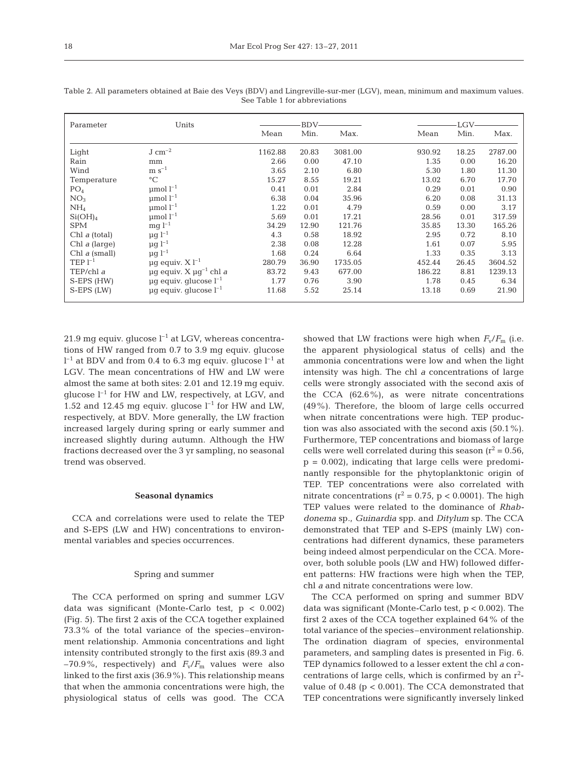| Parameter             | Units                                  | BDV-    |       |         |        | LGV-  |         |  |
|-----------------------|----------------------------------------|---------|-------|---------|--------|-------|---------|--|
|                       |                                        | Mean    | Min.  | Max.    | Mean   | Min.  | Max.    |  |
| Light                 | $J \, \text{cm}^{-2}$                  | 1162.88 | 20.83 | 3081.00 | 930.92 | 18.25 | 2787.00 |  |
| Rain                  | mm                                     | 2.66    | 0.00  | 47.10   | 1.35   | 0.00  | 16.20   |  |
| Wind                  | $m s^{-1}$                             | 3.65    | 2.10  | 6.80    | 5.30   | 1.80  | 11.30   |  |
| Temperature           | $\rm ^{\circ}C$                        | 15.27   | 8.55  | 19.21   | 13.02  | 6.70  | 17.70   |  |
| PO <sub>4</sub>       | $\mu$ mol $l^{-1}$                     | 0.41    | 0.01  | 2.84    | 0.29   | 0.01  | 0.90    |  |
| NO <sub>3</sub>       | $\mu$ mol $l^{-1}$                     | 6.38    | 0.04  | 35.96   | 6.20   | 0.08  | 31.13   |  |
| NH <sub>4</sub>       | $\mu$ mol $l^{-1}$                     | 1.22    | 0.01  | 4.79    | 0.59   | 0.00  | 3.17    |  |
| Si(OH) <sub>4</sub>   | $\mu$ mol $l^{-1}$                     | 5.69    | 0.01  | 17.21   | 28.56  | 0.01  | 317.59  |  |
| <b>SPM</b>            | $mg l^{-1}$                            | 34.29   | 12.90 | 121.76  | 35.85  | 13.30 | 165.26  |  |
| Chl $a$ (total)       | $\mu$ g l <sup>-1</sup>                | 4.3     | 0.58  | 18.92   | 2.95   | 0.72  | 8.10    |  |
| Chl $a$ (large)       | $\mu g$ $l^{-1}$                       | 2.38    | 0.08  | 12.28   | 1.61   | 0.07  | 5.95    |  |
| Chl $a$ (small)       | $\mu q l^{-1}$                         | 1.68    | 0.24  | 6.64    | 1.33   | 0.35  | 3.13    |  |
| $\text{TEP}$ $1^{-1}$ | $\mu$ g equiv. X l <sup>-1</sup>       | 280.79  | 36.90 | 1735.05 | 452.44 | 26.45 | 3604.52 |  |
| TEP/chl a             | $\mu q$ equiv. X $\mu q^{-1}$ chl a    | 83.72   | 9.43  | 677.00  | 186.22 | 8.81  | 1239.13 |  |
| S-EPS (HW)            | $\mu$ q equiv. qlucose $l^{-1}$        | 1.77    | 0.76  | 3.90    | 1.78   | 0.45  | 6.34    |  |
| S-EPS (LW)            | $\mu$ g equiv. glucose l <sup>-1</sup> | 11.68   | 5.52  | 25.14   | 13.18  | 0.69  | 21.90   |  |

Table 2. All parameters obtained at Baie des Veys (BDV) and Lingreville-sur-mer (LGV), mean, minimum and maximum values. See Table 1 for abbreviations

21.9 mg equiv. glucose  $l^{-1}$  at LGV, whereas concentrations of HW ranged from 0.7 to 3.9 mg equiv. glucose  $\rm l^{-1}$  at BDV and from 0.4 to 6.3 mg equiv. glucose  $\rm l^{-1}$  at LGV. The mean concentrations of HW and LW were almost the same at both sites: 2.01 and 12.19 mg equiv. glucose  $l^{-1}$  for HW and LW, respectively, at LGV, and 1.52 and 12.45 mg equiv. glucose  $l^{-1}$  for HW and LW, respectively, at BDV. More generally, the LW fraction increased largely during spring or early summer and increased slightly during autumn. Although the HW fractions decreased over the 3 yr sampling, no seasonal trend was observed.

# **Seasonal dynamics**

CCA and correlations were used to relate the TEP and S-EPS (LW and HW) concentrations to environmental variables and species occurrences.

#### Spring and summer

The CCA performed on spring and summer LGV data was significant (Monte-Carlo test, p < 0.002) (Fig. 5). The first 2 axis of the CCA together explained 73.3% of the total variance of the species–environment relationship. Ammonia concentrations and light intensity contributed strongly to the first axis (89.3 and  $-70.9\%$ , respectively) and  $F_v/F_m$  values were also linked to the first axis (36.9%). This relationship means that when the ammonia concentrations were high, the physiological status of cells was good. The CCA

showed that LW fractions were high when  $F_v/F_m$  (i.e. the apparent physiological status of cells) and the ammonia concentrations were low and when the light intensity was high. The chl *a* concentrations of large cells were strongly associated with the second axis of the CCA (62.6%), as were nitrate concentrations (49%). Therefore, the bloom of large cells occurred when nitrate concentrations were high. TEP production was also associated with the second axis (50.1%). Furthermore, TEP concentrations and biomass of large cells were well correlated during this season  $(r^2 = 0.56,$  $p = 0.002$ , indicating that large cells were predominantly responsible for the phytoplanktonic origin of TEP. TEP concentrations were also correlated with nitrate concentrations ( $r^2 = 0.75$ , p < 0.0001). The high TEP values were related to the dominance of *Rhabdonema* sp., *Guinardia* spp. and *Ditylum* sp. The CCA demonstrated that TEP and S-EPS (mainly LW) concentrations had different dynamics, these parameters being indeed almost perpendicular on the CCA. Moreover, both soluble pools (LW and HW) followed different patterns: HW fractions were high when the TEP, chl *a* and nitrate concentrations were low.

The CCA performed on spring and summer BDV data was significant (Monte-Carlo test, p < 0.002). The first 2 axes of the CCA together explained 64% of the total variance of the species–environment relationship. The ordination diagram of species, environmental parameters, and sampling dates is presented in Fig. 6. TEP dynamics followed to a lesser extent the chl *a* concentrations of large cells, which is confirmed by an  $r^2$ value of  $0.48$  ( $p < 0.001$ ). The CCA demonstrated that TEP concentrations were significantly inversely linked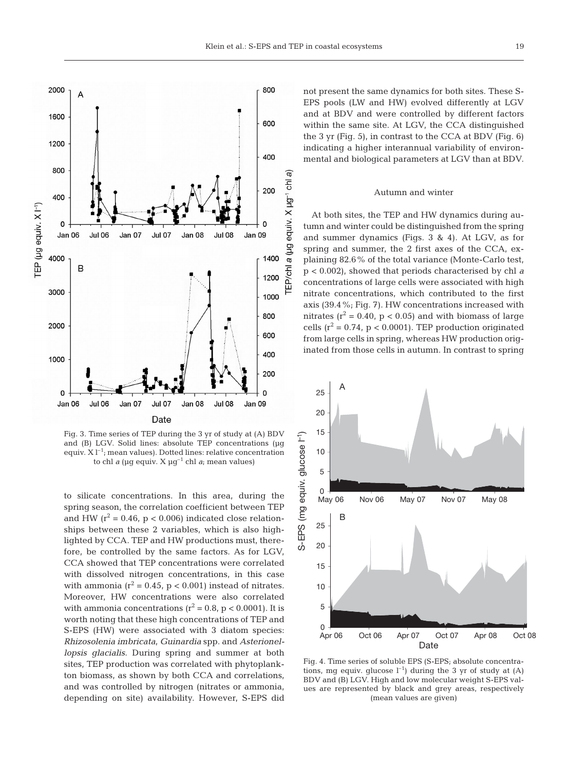



Fig. 3. Time series of TEP during the 3 yr of study at (A) BDV and (B) LGV. Solid lines: absolute TEP concentrations (µq equiv.  $X l^{-1}$ ; mean values). Dotted lines: relative concentration to chl *a* (µg equiv. X µg–1 chl *a*; mean values)

to silicate concentrations. In this area, during the spring season, the correlation coefficient between TEP and HW ( $r^2$  = 0.46,  $p < 0.006$ ) indicated close relationships between these 2 variables, which is also highlighted by CCA. TEP and HW productions must, therefore, be controlled by the same factors. As for LGV, CCA showed that TEP concentrations were correlated with dissolved nitrogen concentrations, in this case with ammonia ( $r^2$  = 0.45, p < 0.001) instead of nitrates. Moreover, HW concentrations were also correlated with ammonia concentrations ( $r^2 = 0.8$ ,  $p < 0.0001$ ). It is worth noting that these high concentrations of TEP and S-EPS (HW) were associated with 3 diatom species: *Rhizosolenia imbricata*, *Guinardia* spp. and *Asterionellopsis glacialis*. During spring and summer at both sites, TEP production was correlated with phytoplankton biomass, as shown by both CCA and correlations, and was controlled by nitrogen (nitrates or ammonia, depending on site) availability. However, S-EPS did not present the same dynamics for both sites. These S-EPS pools (LW and HW) evolved differently at LGV and at BDV and were controlled by different factors within the same site. At LGV, the CCA distinguished the 3 yr (Fig. 5), in contrast to the CCA at BDV (Fig. 6) indicating a higher interannual variability of environmental and biological parameters at LGV than at BDV.

#### Autumn and winter

At both sites, the TEP and HW dynamics during autumn and winter could be distinguished from the spring and summer dynamics (Figs. 3 & 4). At LGV, as for spring and summer, the 2 first axes of the CCA, explaining 82.6% of the total variance (Monte-Carlo test, p < 0.002), showed that periods characterised by chl *a* concentrations of large cells were associated with high nitrate concentrations, which contributed to the first axis (39.4%; Fig. 7). HW concentrations increased with nitrates ( $r^2$  = 0.40,  $p$  < 0.05) and with biomass of large cells ( $r^2 = 0.74$ ,  $p < 0.0001$ ). TEP production originated from large cells in spring, whereas HW production originated from those cells in autumn. In contrast to spring



Fig. 4. Time series of soluble EPS (S-EPS; absolute concentrations, mg equiv. glucose  $l^{-1}$ ) during the 3 yr of study at (A) BDV and (B) LGV. High and low molecular weight S-EPS values are represented by black and grey areas, respectively (mean values are given)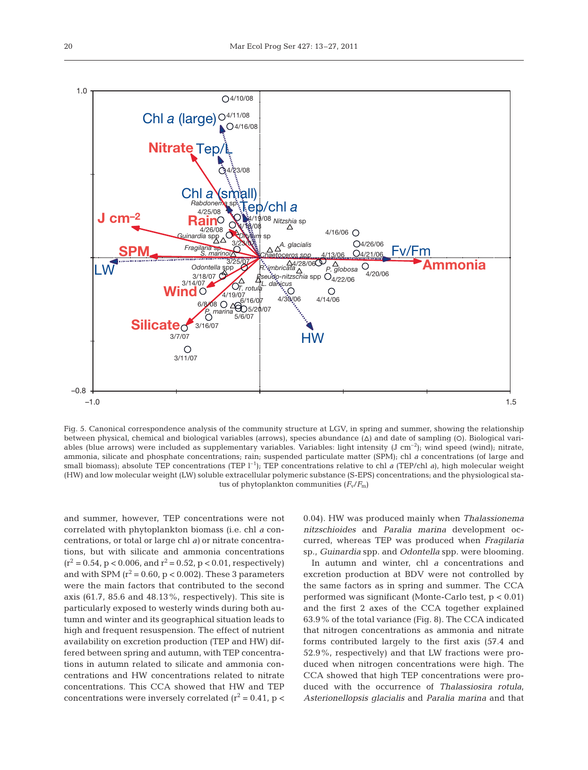

Fig. 5. Canonical correspondence analysis of the community structure at LGV, in spring and summer, showing the relationship between physical, chemical and biological variables (arrows), species abundance  $(\Delta)$  and date of sampling (O). Biological variables (blue arrows) were included as supplementary variables. Variables: light intensity  $(J \text{ cm}^{-2})$ ; wind speed (wind); nitrate, ammonia, silicate and phosphate concentrations; rain; suspended particulate matter (SPM); chl *a* concentrations (of large and small biomass); absolute TEP concentrations (TEP  $l^{-1}$ ); TEP concentrations relative to chl *a* (TEP/chl *a*), high molecular weight (HW) and low molecular weight (LW) soluble extracellular polymeric substance (S-EPS) concentrations; and the physiological status of phytoplankton communities  $(F_v/F_m)$ 

and summer, however, TEP concentrations were not correlated with phytoplankton biomass (i.e. chl *a* concentrations, or total or large chl *a)* or nitrate concentrations, but with silicate and ammonia concentrations  $(r^2 = 0.54, p < 0.006, and r^2 = 0.52, p < 0.01$ , respectively) and with SPM  $(r^2 = 0.60, p < 0.002)$ . These 3 parameters were the main factors that contributed to the second axis (61.7, 85.6 and 48.13%, respectively). This site is particularly exposed to westerly winds during both autumn and winter and its geographical situation leads to high and frequent resuspension. The effect of nutrient availability on excretion production (TEP and HW) differed between spring and autumn, with TEP concentrations in autumn related to silicate and ammonia concentrations and HW concentrations related to nitrate concentrations. This CCA showed that HW and TEP concentrations were inversely correlated  $(r^2 = 0.41, p <$  0.04). HW was produced mainly when *Thalassionema nitzschioides* and *Paralia marina* development occurred, whereas TEP was produced when *Fragilaria* sp., *Guinardia* spp. and *Odontella* spp. were blooming.

In autumn and winter, chl *a* concentrations and excretion production at BDV were not controlled by the same factors as in spring and summer. The CCA performed was significant (Monte-Carlo test, p < 0.01) and the first 2 axes of the CCA together explained 63.9% of the total variance (Fig. 8). The CCA indicated that nitrogen concentrations as ammonia and nitrate forms contributed largely to the first axis (57.4 and 52.9%, respectively) and that LW fractions were produced when nitrogen concentrations were high. The CCA showed that high TEP concentrations were produced with the occurrence of *Thalassiosira rotula*, *Asterionellopsis glacialis* and *Paralia marina* and that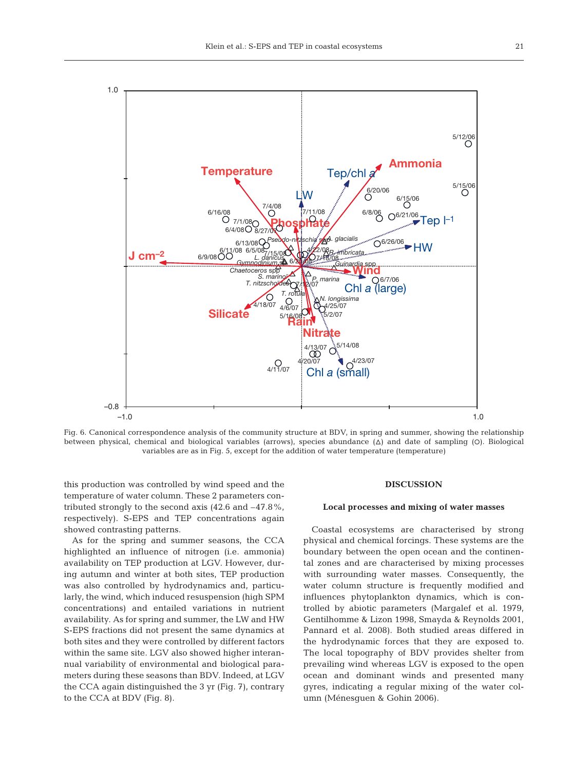

Fig. 6. Canonical correspondence analysis of the community structure at BDV, in spring and summer, showing the relationship between physical, chemical and biological variables (arrows), species abundance  $(\Delta)$  and date of sampling  $(O)$ . Biological variables are as in Fig. 5, except for the addition of water temperature (temperature)

this production was controlled by wind speed and the temperature of water column. These 2 parameters contributed strongly to the second axis (42.6 and –47.8%, respectively). S-EPS and TEP concentrations again showed contrasting patterns.

As for the spring and summer seasons, the CCA highlighted an influence of nitrogen (i.e. ammonia) availability on TEP production at LGV. However, during autumn and winter at both sites, TEP production was also controlled by hydrodynamics and, particularly, the wind, which induced resuspension (high SPM concentrations) and entailed variations in nutrient availability. As for spring and summer, the LW and HW S-EPS fractions did not present the same dynamics at both sites and they were controlled by different factors within the same site. LGV also showed higher interannual variability of environmental and biological parameters during these seasons than BDV. Indeed, at LGV the CCA again distinguished the 3 yr (Fig. 7), contrary to the CCA at BDV (Fig. 8).

#### **DISCUSSION**

# **Local processes and mixing of water masses**

Coastal ecosystems are characterised by strong physical and chemical forcings. These systems are the boundary between the open ocean and the continental zones and are characterised by mixing processes with surrounding water masses. Consequently, the water column structure is frequently modified and influences phytoplankton dynamics, which is controlled by abiotic parameters (Margalef et al. 1979, Gentilhomme & Lizon 1998, Smayda & Reynolds 2001, Pannard et al. 2008). Both studied areas differed in the hydrodynamic forces that they are exposed to. The local topography of BDV provides shelter from prevailing wind whereas LGV is exposed to the open ocean and dominant winds and presented many gyres, indicating a regular mixing of the water column (Ménesguen & Gohin 2006).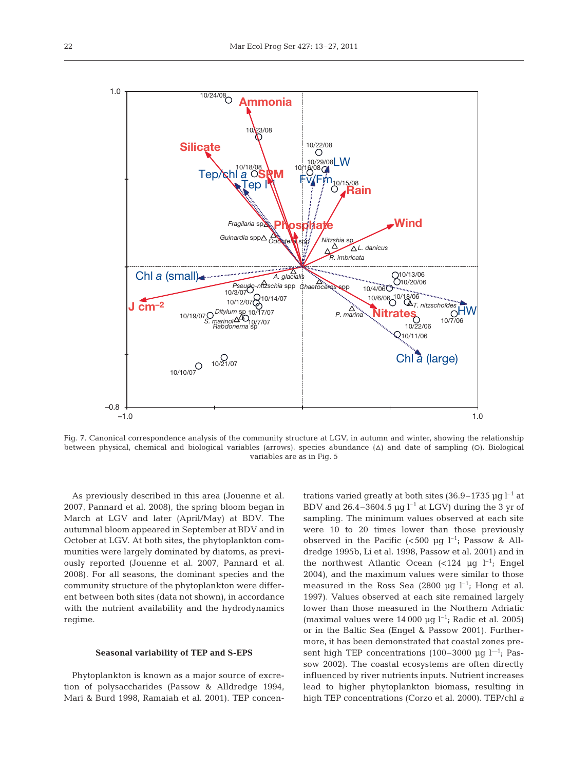

Fig. 7. Canonical correspondence analysis of the community structure at LGV, in autumn and winter, showing the relationship between physical, chemical and biological variables (arrows), species abundance  $(\Delta)$  and date of sampling (O). Biological variables are as in Fig. 5

As previously described in this area (Jouenne et al. 2007, Pannard et al. 2008), the spring bloom began in March at LGV and later (April/May) at BDV. The autumnal bloom appeared in September at BDV and in October at LGV. At both sites, the phytoplankton communities were largely dominated by diatoms, as previously reported (Jouenne et al. 2007, Pannard et al. 2008). For all seasons, the dominant species and the community structure of the phytoplankton were different between both sites (data not shown), in accordance with the nutrient availability and the hydrodynamics regime.

#### **Seasonal variability of TEP and S-EPS**

Phytoplankton is known as a major source of excretion of polysaccharides (Passow & Alldredge 1994, Mari & Burd 1998, Ramaiah et al. 2001). TEP concentrations varied greatly at both sites  $(36.9-1735 \text{ µg l}^{-1})$  at BDV and  $26.4-3604.5 \mu q l^{-1}$  at LGV) during the 3 yr of sampling. The minimum values observed at each site were 10 to 20 times lower than those previously observed in the Pacific  $(<500 \text{ µq } l^{-1}$ ; Passow & Alldredge 1995b, Li et al. 1998, Passow et al. 2001) and in the northwest Atlantic Ocean  $\left($ <124 µg l<sup>-1</sup>; Engel 2004), and the maximum values were similar to those measured in the Ross Sea (2800  $\mu$ q l<sup>-1</sup>; Hong et al. 1997). Values observed at each site remained largely lower than those measured in the Northern Adriatic (maximal values were  $14\,000$  µg l<sup>-1</sup>; Radic et al. 2005) or in the Baltic Sea (Engel & Passow 2001). Furthermore, it has been demonstrated that coastal zones present high TEP concentrations (100–3000 µg  $l^{-1}$ ; Passow 2002). The coastal ecosystems are often directly influenced by river nutrients inputs. Nutrient increases lead to higher phytoplankton biomass, resulting in high TEP concentrations (Corzo et al. 2000). TEP/chl *a*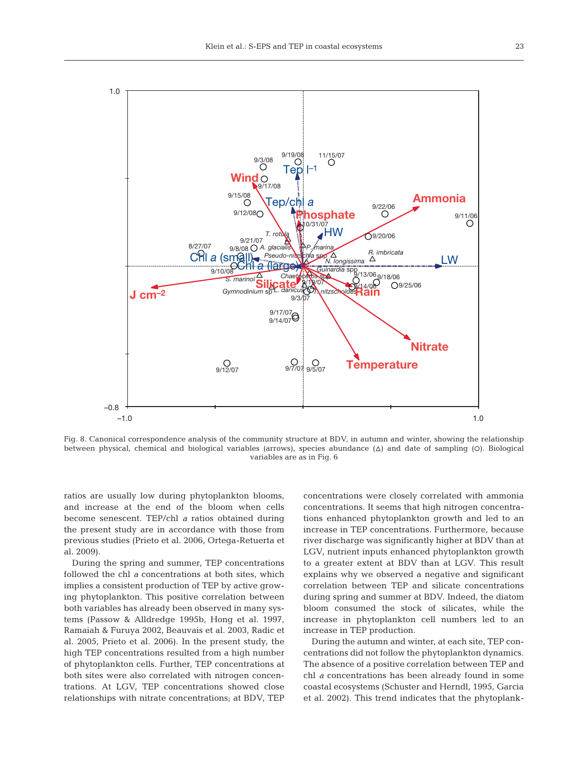

Fig. 8. Canonical correspondence analysis of the community structure at BDV, in autumn and winter, showing the relationship between physical, chemical and biological variables (arrows), species abundance  $(\Delta)$  and date of sampling  $(O)$ . Biological variables are as in Fig. 6

ratios are usually low during phytoplankton blooms, and increase at the end of the bloom when cells become senescent. TEP/chl *a* ratios obtained during the present study are in accordance with those from previous studies (Prieto et al. 2006, Ortega-Retuerta et al. 2009).

During the spring and summer, TEP concentrations followed the chl *a* concentrations at both sites, which implies a consistent production of TEP by active growing phytoplankton. This positive correlation between both variables has already been observed in many systems (Passow & Alldredge 1995b, Hong et al. 1997, Ramaiah & Furuya 2002, Beauvais et al. 2003, Radic et al. 2005, Prieto et al. 2006). In the present study, the high TEP concentrations resulted from a high number of phytoplankton cells. Further, TEP concentrations at both sites were also correlated with nitrogen concentrations. At LGV, TEP concentrations showed close relationships with nitrate concentrations; at BDV, TEP

concentrations were closely correlated with ammonia concentrations. It seems that high nitrogen concentrations enhanced phytoplankton growth and led to an increase in TEP concentrations. Furthermore, because river discharge was significantly higher at BDV than at LGV, nutrient inputs enhanced phytoplankton growth to a greater extent at BDV than at LGV. This result explains why we observed a negative and significant correlation between TEP and silicate concentrations during spring and summer at BDV. Indeed, the diatom bloom consumed the stock of silicates, while the increase in phytoplankton cell numbers led to an increase in TEP production.

During the autumn and winter, at each site, TEP concentrations did not follow the phytoplankton dynamics. The absence of a positive correlation between TEP and chl *a* concentrations has been already found in some coastal ecosystems (Schuster and Herndl, 1995, Garcia et al. 2002). This trend indicates that the phytoplank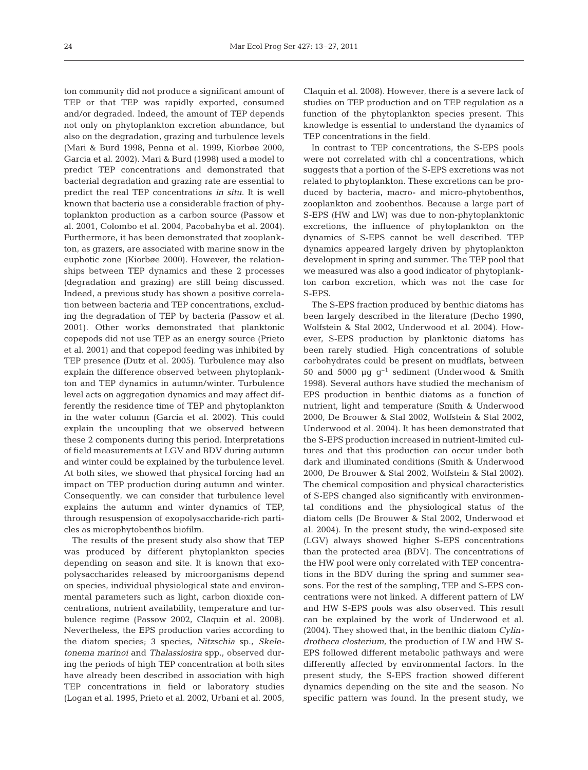ton community did not produce a significant amount of TEP or that TEP was rapidly exported, consumed and/or degraded. Indeed, the amount of TEP depends not only on phytoplankton excretion abundance, but also on the degradation, grazing and turbulence levels (Mari & Burd 1998, Penna et al. 1999, Kiorbøe 2000, Garcia et al. 2002). Mari & Burd (1998) used a model to predict TEP concentrations and demonstrated that bacterial degradation and grazing rate are essential to predict the real TEP concentrations *in situ*. It is well known that bacteria use a considerable fraction of phytoplankton production as a carbon source (Passow et al. 2001, Colombo et al. 2004, Pacobahyba et al. 2004). Furthermore, it has been demonstrated that zooplankton, as grazers, are associated with marine snow in the euphotic zone (Kiorbøe 2000). However, the relationships between TEP dynamics and these 2 processes (degradation and grazing) are still being discussed. Indeed, a previous study has shown a positive correlation between bacteria and TEP concentrations, excluding the degradation of TEP by bacteria (Passow et al. 2001). Other works demonstrated that planktonic copepods did not use TEP as an energy source (Prieto et al. 2001) and that copepod feeding was inhibited by TEP presence (Dutz et al. 2005). Turbulence may also explain the difference observed between phytoplankton and TEP dynamics in autumn/winter. Turbulence level acts on aggregation dynamics and may affect differently the residence time of TEP and phytoplankton in the water column (Garcia et al. 2002). This could explain the uncoupling that we observed between these 2 components during this period. Interpretations of field measurements at LGV and BDV during autumn and winter could be explained by the turbulence level. At both sites, we showed that physical forcing had an impact on TEP production during autumn and winter. Consequently, we can consider that turbulence level explains the autumn and winter dynamics of TEP, through resuspension of exopolysaccharide-rich particles as microphytobenthos biofilm.

The results of the present study also show that TEP was produced by different phytoplankton species depending on season and site. It is known that exopolysaccharides released by microorganisms depend on species, individual physiological state and environmental parameters such as light, carbon dioxide concentrations, nutrient availability, temperature and turbulence regime (Passow 2002, Claquin et al. 2008). Nevertheless, the EPS production varies according to the diatom species; 3 species, *Nitzschia* sp., *Skeletonema marinoi* and *Thalassiosira* spp., observed during the periods of high TEP concentration at both sites have already been described in association with high TEP concentrations in field or laboratory studies (Logan et al. 1995, Prieto et al. 2002, Urbani et al. 2005,

Claquin et al. 2008). However, there is a severe lack of studies on TEP production and on TEP regulation as a function of the phytoplankton species present. This knowledge is essential to understand the dynamics of TEP concentrations in the field.

In contrast to TEP concentrations, the S-EPS pools were not correlated with chl *a* concentrations, which suggests that a portion of the S-EPS excretions was not related to phytoplankton. These excretions can be produced by bacteria, macro- and micro-phytobenthos, zooplankton and zoobenthos. Because a large part of S-EPS (HW and LW) was due to non-phytoplanktonic excretions, the influence of phytoplankton on the dynamics of S-EPS cannot be well described. TEP dynamics appeared largely driven by phytoplankton development in spring and summer. The TEP pool that we measured was also a good indicator of phytoplankton carbon excretion, which was not the case for S-EPS.

The S-EPS fraction produced by benthic diatoms has been largely described in the literature (Decho 1990, Wolfstein & Stal 2002, Underwood et al. 2004). However, S-EPS production by planktonic diatoms has been rarely studied. High concentrations of soluble carbohydrates could be present on mudflats, between 50 and 5000  $\mu$ g g<sup>-1</sup> sediment (Underwood & Smith 1998). Several authors have studied the mechanism of EPS production in benthic diatoms as a function of nutrient, light and temperature (Smith & Underwood 2000, De Brouwer & Stal 2002, Wolfstein & Stal 2002, Underwood et al. 2004). It has been demonstrated that the S-EPS production increased in nutrient-limited cultures and that this production can occur under both dark and illuminated conditions (Smith & Underwood 2000, De Brouwer & Stal 2002, Wolfstein & Stal 2002). The chemical composition and physical characteristics of S-EPS changed also significantly with environmental conditions and the physiological status of the diatom cells (De Brouwer & Stal 2002, Underwood et al. 2004). In the present study, the wind-exposed site (LGV) always showed higher S-EPS concentrations than the protected area (BDV). The concentrations of the HW pool were only correlated with TEP concentrations in the BDV during the spring and summer seasons. For the rest of the sampling, TEP and S-EPS concentrations were not linked. A different pattern of LW and HW S-EPS pools was also observed. This result can be explained by the work of Underwood et al. (2004). They showed that, in the benthic diatom *Cylindrotheca closterium*, the production of LW and HW S-EPS followed different metabolic pathways and were differently affected by environmental factors. In the present study, the S-EPS fraction showed different dynamics depending on the site and the season. No specific pattern was found. In the present study, we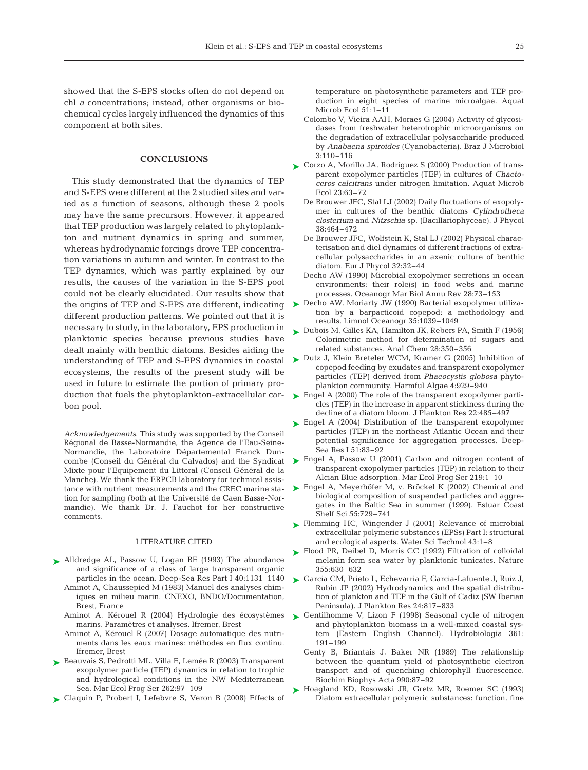showed that the S-EPS stocks often do not depend on chl *a* concentrations; instead, other organisms or biochemical cycles largely influenced the dynamics of this component at both sites.

### **CONCLUSIONS**

This study demonstrated that the dynamics of TEP and S-EPS were different at the 2 studied sites and varied as a function of seasons, although these 2 pools may have the same precursors. However, it appeared that TEP production was largely related to phytoplankton and nutrient dynamics in spring and summer, whereas hydrodynamic forcings drove TEP concentration variations in autumn and winter. In contrast to the TEP dynamics, which was partly explained by our results, the causes of the variation in the S-EPS pool could not be clearly elucidated. Our results show that the origins of TEP and S-EPS are different, indicating different production patterns. We pointed out that it is necessary to study, in the laboratory, EPS production in planktonic species because previous studies have dealt mainly with benthic diatoms. Besides aiding the understanding of TEP and S-EPS dynamics in coastal ecosystems, the results of the present study will be used in future to estimate the portion of primary production that fuels the phytoplankton-extracellular carbon pool.

*Acknowledgements*. This study was supported by the Conseil Régional de Basse-Normandie, the Agence de l'Eau-Seine-Normandie, the Laboratoire Départemental Franck Duncombe (Conseil du Général du Calvados) and the Syndicat Mixte pour l'Equipement du Littoral (Conseil Général de la Manche). We thank the ERPCB laboratory for technical assistance with nutrient measurements and the CREC marine station for sampling (both at the Université de Caen Basse-Normandie). We thank Dr. J. Fauchot for her constructive comments.

## LITERATURE CITED

- ▶ Alldredge AL, Passow U, Logan BE (1993) The abundance and significance of a class of large transparent organic particles in the ocean. Deep-Sea Res Part I 40:1131–1140
	- Aminot A, Chaussepied M (1983) Manuel des analyses chimiques en milieu marin. CNEXO, BNDO/Documentation, Brest, France
	- Aminot A, Kérouel R (2004) Hydrologie des écosystèmes marins. Paramètres et analyses. Ifremer, Brest
	- Aminot A, Kérouel R (2007) Dosage automatique des nutriments dans les eaux marines: méthodes en flux continu. Ifremer, Brest
- ► Beauvais S, Pedrotti ML, Villa E, Lemée R (2003) Transparent exopolymer particle (TEP) dynamics in relation to trophic and hydrological conditions in the NW Mediterranean Sea. Mar Ecol Prog Ser 262:97–109
- ▶ Claquin P, Probert I, Lefebvre S, Veron B (2008) Effects of

temperature on photosynthetic parameters and TEP production in eight species of marine microalgae. Aquat Microb Ecol 51:1–11

- Colombo V, Vieira AAH, Moraes G (2004) Activity of glycosidases from freshwater heterotrophic microorganisms on the degradation of extracellular polysaccharide produced by *Anabaena spiroides* (Cyanobacteria). Braz J Microbiol 3: 110–116
- ► Corzo A, Morillo JA, Rodríguez S (2000) Production of transparent exopolymer particles (TEP) in cultures of *Chaetoceros calcitrans* under nitrogen limitation. Aquat Microb Ecol 23:63–72
	- De Brouwer JFC, Stal LJ (2002) Daily fluctuations of exopolymer in cultures of the benthic diatoms *Cylindrotheca closterium* and *Nitzschia* sp. (Bacillariophyceae). J Phycol 38: 464–472
	- De Brouwer JFC, Wolfstein K, Stal LJ (2002) Physical characterisation and diel dynamics of different fractions of extracellular polysaccharides in an axenic culture of benthic diatom. Eur J Phycol 32:32–44
	- Decho AW (1990) Microbial exopolymer secretions in ocean environments: their role(s) in food webs and marine processes. Oceanogr Mar Biol Annu Rev 28:73–153
- ► Decho AW, Moriarty JW (1990) Bacterial exopolymer utilization by a barpacticoid copepod: a methodology and results. Limnol Oceanogr 35:1039–1049
- ► Dubois M, Gilles KA, Hamilton JK, Rebers PA, Smith F (1956) Colorimetric method for determination of sugars and related substances. Anal Chem 28:350–356
- ▶ Dutz J, Klein Breteler WCM, Kramer G (2005) Inhibition of copepod feeding by exudates and transparent exopolymer particles (TEP) derived from *Phaeocystis globosa* phytoplankton community. Harmful Algae 4:929–940
- ► Engel A (2000) The role of the transparent exopolymer particles (TEP) in the increase in apparent stickiness during the decline of a diatom bloom. J Plankton Res 22:485–497
- ► Engel A (2004) Distribution of the transparent exopolymer particles (TEP) in the northeast Atlantic Ocean and their potential significance for aggregation processes. Deep-Sea Res I 51:83–92
- ► Engel A, Passow U (2001) Carbon and nitrogen content of transparent exopolymer particles (TEP) in relation to their Alcian Blue adsorption. Mar Ecol Prog Ser 219:1–10
- ► Engel A, Meyerhöfer M, v. Bröckel K (2002) Chemical and biological composition of suspended particles and aggregates in the Baltic Sea in summer (1999). Estuar Coast Shelf Sci 55:729–741
- ► Flemming HC, Wingender J (2001) Relevance of microbial extracellular polymeric substances (EPSs) Part I: structural and ecological aspects. Water Sci Technol 43:1–8
- ► Flood PR, Deibel D, Morris CC (1992) Filtration of colloidal melanin form sea water by planktonic tunicates. Nature 355: 630–632
- Garcia CM, Prieto L, Echevarria F, Garcia-Lafuente J, Ruiz J, ➤ Rubin JP (2002) Hydrodynamics and the spatial distribution of plankton and TEP in the Gulf of Cadiz (SW Iberian Peninsula). J Plankton Res 24:817–833
- ► Gentilhomme V, Lizon F (1998) Seasonal cycle of nitrogen and phytoplankton biomass in a well-mixed coastal system (Eastern English Channel). Hydrobiologia 361: 191–199
	- Genty B, Briantais J, Baker NR (1989) The relationship between the quantum yield of photosynthetic electron transport and of quenching chlorophyll fluorescence. Biochim Biophys Acta 990:87–92
- ▶ Hoagland KD, Rosowski JR, Gretz MR, Roemer SC (1993) Diatom extracellular polymeric substances: function, fine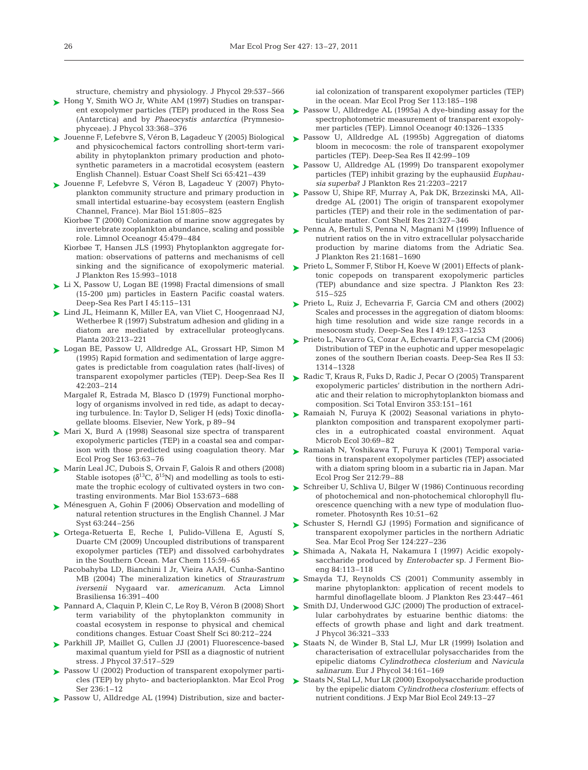structure, chemistry and physiology. J Phycol 29:537–566

- ► Hong Y, Smith WO Jr, White AM (1997) Studies on transparent exopolymer particles (TEP) produced in the Ross Sea (Antarctica) and by *Phaeocystis antarctica* (Prymnesiophyceae). J Phycol 33:368–376
- Jouenne F, Lefebvre S, Véron B, Lagadeuc Y (2005) Biological ➤ and physicochemical factors controlling short-term variability in phytoplankton primary production and photosynthetic parameters in a macrotidal ecosystem (eastern English Channel). Estuar Coast Shelf Sci 65:421–439
- ► Jouenne F, Lefebvre S, Véron B, Lagadeuc Y (2007) Phytoplankton community structure and primary production in small intertidal estuarine-bay ecosystem (eastern English Channel, France). Mar Biol 151:805–825
	- Kiorbøe T (2000) Colonization of marine snow aggregates by invertebrate zooplankton abundance, scaling and possible role. Limnol Oceanogr 45:479–484
	- Kiorbøe T, Hansen JLS (1993) Phytoplankton aggregate formation: observations of patterns and mechanisms of cell sinking and the significance of exopolymeric material. J Plankton Res 15:993–1018
- ► Li X, Passow U, Logan BE (1998) Fractal dimensions of small (15-200 µm) particles in Eastern Pacific coastal waters. Deep-Sea Res Part I 45:115–131
- ► Lind JL, Heimann K, Miller EA, van Vliet C, Hoogenraad NJ, Wetherbee R (1997) Substratum adhesion and gliding in a diatom are mediated by extracellular proteoglycans. Planta 203:213–221
- ► Logan BE, Passow U, Alldredge AL, Grossart HP, Simon M (1995) Rapid formation and sedimentation of large aggregates is predictable from coagulation rates (half-lives) of transparent exopolymer particles (TEP). Deep-Sea Res II 42:203–214
	- Margalef R, Estrada M, Blasco D (1979) Functional morphology of organisms involved in red tide, as adapt to decaying turbulence. In: Taylor D, Seliger H (eds) Toxic dinoflagellate blooms. Elsevier, New York, p 89–94
- ► Mari X, Burd A (1998) Seasonal size spectra of transparent exopolymeric particles (TEP) in a coastal sea and comparison with those predicted using coagulation theory. Mar Ecol Prog Ser 163:63–76
- ► Marín Leal JC, Dubois S, Orvain F, Galois R and others (2008) Stable isotopes ( $\delta^{13}C$ ,  $\delta^{15}N$ ) and modelling as tools to estimate the trophic ecology of cultivated oysters in two contrasting environments. Mar Biol 153:673–688
- ► Ménesguen A, Gohin F (2006) Observation and modelling of natural retention structures in the English Channel. J Mar Syst 63:244–256
- ► Ortega-Retuerta E, Reche I, Pulido-Villena E, Agustí S, Duarte CM (2009) Uncoupled distributions of transparent exopolymer particles (TEP) and dissolved carbohydrates in the Southern Ocean. Mar Chem 115:59–65
	- Pacobahyba LD, Bianchini I Jr, Vieira AAH, Cunha-Santino MB (2004) The mineralization kinetics of *Straurastrum iversenii* Nygaard var. *americanum*. Acta Limnol Brasiliensa 16:391–400
- Pannard A, Claquin P, Klein C, Le Roy B, Véron B (2008) Short ➤ term variability of the phytoplankton community in coastal ecosystem in response to physical and chemical conditions changes. Estuar Coast Shelf Sci 80:212–224
- ▶ Parkhill JP, Maillet G, Cullen JJ (2001) Fluorescence-based maximal quantum yield for PSII as a diagnostic of nutrient stress. J Phycol 37:517–529
- ► Passow U (2002) Production of transparent exopolymer particles (TEP) by phyto- and bacterioplankton. Mar Ecol Prog Ser 236:1–12
- ▶ Passow U, Alldredge AL (1994) Distribution, size and bacter-

ial colonization of transparent exopolymer particles (TEP) in the ocean. Mar Ecol Prog Ser 113:185–198

- ► Passow U, Alldredge AL (1995a) A dye-binding assay for the spectrophotometric measurement of transparent exopolymer particles (TEP). Limnol Oceanogr 40:1326–1335
- ▶ Passow U, Alldredge AL (1995b) Aggregation of diatoms bloom in mecocosm: the role of transparent exopolymer particles (TEP). Deep-Sea Res II 42:99–109
- ► Passow U, Alldredge AL (1999) Do transparent exopolymer particles (TEP) inhibit grazing by the euphausiid *Euphausia superba*? J Plankton Res 21:2203–2217
- ► Passow U, Shipe RF, Murray A, Pak DK, Brzezinski MA, Alldredge AL (2001) The origin of transparent exopolymer particles (TEP) and their role in the sedimentation of particulate matter. Cont Shelf Res 21:327–346
- ► Penna A, Bertuli S, Penna N, Magnani M (1999) Influence of nutrient ratios on the in vitro extracellular polysaccharide production by marine diatoms from the Adriatic Sea. J Plankton Res 21:1681–1690
- ► Prieto L, Sommer F, Stibor H, Koeve W (2001) Effects of planktonic copepods on transparent exopolymeric particles (TEP) abundance and size spectra. J Plankton Res 23: 515–525
- ► Prieto L, Ruiz J, Echevarria F, Garcia CM and others (2002) Scales and processes in the aggregation of diatom blooms: high time resolution and wide size range records in a mesocosm study. Deep-Sea Res I 49:1233–1253
- Prieto L, Navarro G, Cozar A, Echevarria F, Garcia CM (2006) ➤ Distribution of TEP in the euphotic and upper mesopelagic zones of the southern Iberian coasts. Deep-Sea Res II 53: 1314–1328
- Radic T, Kraus R, Fuks D, Radic J, Pecar O (2005) Transparent ➤ exopolymeric particles' distribution in the northern Adriatic and their relation to microphytoplankton biomass and composition. Sci Total Environ 353:151–161
- ► Ramaiah N, Furuya K (2002) Seasonal variations in phytoplankton composition and transparent exopolymer particles in a eutrophicated coastal environment. Aquat Microb Ecol 30:69–82
- ► Ramaiah N, Yoshikawa T, Furuya K (2001) Temporal variations in transparent exopolymer particles (TEP) associated with a diatom spring bloom in a subartic ria in Japan. Mar Ecol Prog Ser 212:79–88
- ► Schreiber U, Schliva U, Bilger W (1986) Continuous recording of photochemical and non-photochemical chlorophyll fluorescence quenching with a new type of modulation fluorometer. Photosynth Res 10:51–62
- ▶ Schuster S, Herndl GJ (1995) Formation and significance of transparent exopolymer particles in the northern Adriatic Sea. Mar Ecol Prog Ser 124:227–236
- ► Shimada A, Nakata H, Nakamura I (1997) Acidic exopoly saccharide produced by *Enterobacter* sp. J Ferment Bioeng 84: 113–118
- ► Smayda TJ, Reynolds CS (2001) Community assembly in marine phytoplankton: application of recent models to harmful dinoflagellate bloom. J Plankton Res 23:447–461
- ► Smith DJ, Underwood GJC (2000) The production of extracellular carbohydrates by estuarine benthic diatoms: the effects of growth phase and light and dark treatment. J Phycol 36:321–333
- Staats N, de Winder B, Stal LJ, Mur LR (1999) Isolation and characterisation of extracellular polysaccharides from the epipelic diatoms *Cylindrotheca closterium* and *Navicula salinarum*. Eur J Phycol 34:161–169 ➤
- Staats N, Stal LJ, Mur LR (2000) Exopolysaccharide production ➤by the epipelic diatom *Cylindrotheca closterium*: effects of nutrient conditions. J Exp Mar Biol Ecol 249:13-27